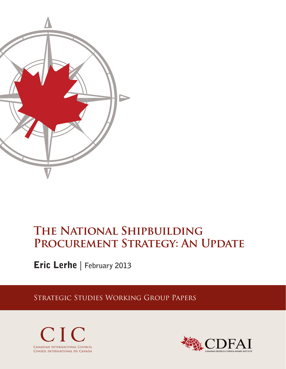

# **The National Shipbuilding**  PROCUREMENT STRATEGY: AN UPDATE

Eric Lerhe | **February 2013**

Strategic Studies Working Group Papers



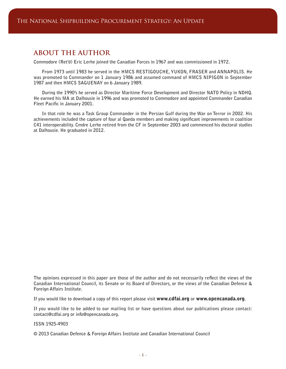# **ABOUT THE AUTHOR**

**Commodore (Ret'd) Eric Lerhe joined the Canadian Forces in 1967 and was commissioned in 1972.**

**From 1973 until 1983 he served in the HMCS RESTIGOUCHE, YUKON, FRASER and ANNAPOLIS. He was promoted to Commander on 1 January 1986 and assumed command of HMCS NIPIGON in September 1987 and then HMCS SAGUENAY on 6 January 1989.**

**During the 1990's he served as Director Maritime Force Development and Director NATO Policy in NDHQ. He earned his MA at Dalhousie in 1996 and was promoted to Commodore and appointed Commander Canadian Fleet Pacific in January 2001.**

**In that role he was a Task Group Commander in the Persian Gulf during the War on Terror in 2002. His achievements included the capture of four al Qaeda members and making significant improvements in coalition C41 interoperability. Cmdre Lerhe retired from the CF in September 2003 and commenced his doctoral studies at Dalhousie. He graduated in 2012.**

**The opinions expressed in this paper are those of the author and do not necessarily reflect the views of the Canadian International Council, its Senate or its Board of Directors, or the views of the Canadian Defence & Foreign Affairs Institute.**

**If you would like to download a copy of this report please visit** www.cdfai.org **or** www.opencanada.org**.**

**If you would like to be added to our mailing list or have questions about our publications please contact: contact@cdfai.org or info@opencanada.org.**

**ISSN 1925-4903** 

**© 2013 Canadian Defence & Foreign Affairs Institute and Canadian International Council**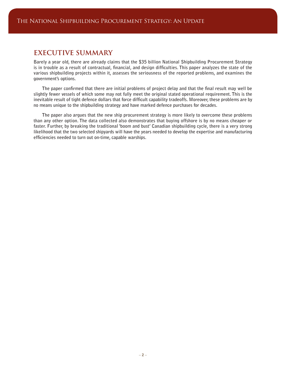# **EXECUTIVE SUMMARY**

**Barely a year old, there are already claims that the \$35 billion National Shipbuilding Procurement Strategy is in trouble as a result of contractual, financial, and design difficulties. This paper analyzes the state of the various shipbuilding projects within it, assesses the seriousness of the reported problems, and examines the government's options.**

**The paper confirmed that there are initial problems of project delay and that the final result may well be slightly fewer vessels of which some may not fully meet the original stated operational requirement. This is the inevitable result of tight defence dollars that force difficult capability tradeoffs. Moreover, these problems are by no means unique to the shipbuilding strategy and have marked defence purchases for decades.**

**The paper also argues that the new ship procurement strategy is more likely to overcome these problems than any other option. The data collected also demonstrates that buying offshore is by no means cheaper or faster. Further, by breaking the traditional 'boom and bust' Canadian shipbuilding cycle, there is a very strong likelihood that the two selected shipyards will have the years needed to develop the expertise and manufacturing efficiencies needed to turn out on-time, capable warships.**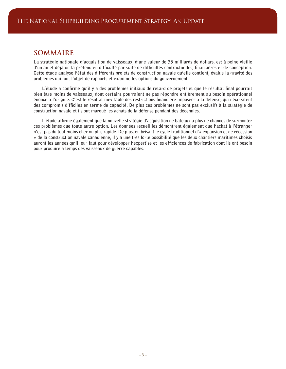## **SOMMAIRE**

**La stratégie nationale d'acquisition de vaisseaux, d'une valeur de 35 milliards de dollars, est à peine vieille d'un an et déjà on la prétend en difficulté par suite de difficultés contractuelles, financières et de conception. Cette étude analyse l'état des différents projets de construction navale qu'elle contient, évalue la gravité des problèmes qui font l'objet de rapports et examine les options du gouvernement.**

**L'étude a confirmé qu'il y a des problèmes initiaux de retard de projets et que le résultat final pourrait bien être moins de vaisseaux, dont certains pourraient ne pas répondre entièrement au besoin opérationnel énoncé à l'origine. C'est le résultat inévitable des restrictions financière imposées à la défense, qui nécessitent des compromis difficiles en terme de capacité. De plus ces problèmes ne sont pas exclusifs à la stratégie de construction navale et ils ont marqué les achats de la défense pendant des décennies.**

**L'étude affirme également que la nouvelle stratégie d'acquisition de bateaux a plus de chances de surmonter ces problèmes que toute autre option. Les données recueillies démontrent également que l'achat à l'étranger n'est pas du tout moins cher ou plus rapide. De plus, en brisant le cycle traditionnel d'« expansion et de récession » de la construction navale canadienne, il y a une très forte possibilité que les deux chantiers maritimes choisis auront les années qu'il leur faut pour développer l'expertise et les efficiences de fabrication dont ils ont besoin pour produire à temps des vaisseaux de guerre capables.**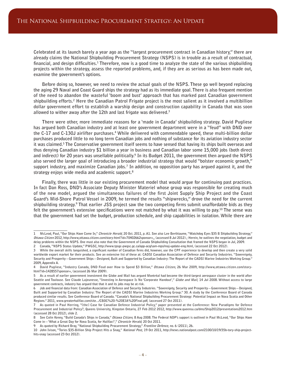**Celebrated at its launch barely a year ago as the "largest procurement contract in Canadian history," there are already claims the National Shipbuilding Procurement Strategy (NSPS) is in trouble as a result of contractual, financial, and design difficulties.1 Therefore, now is a good time to analyze the state of the various shipbuilding projects within the strategy, assess the reported problems, and, if they are as serious as has been made out, examine the government's options.**

**Before doing so, however, we need to review the actual goals of the NSPS. These go well beyond replacing the aging 29 Naval and Coast Guard ships the strategy had as its immediate goal. There is also frequent mention of the need to abandon the wasteful 'boom and bust' approach that has marked past Canadian government**  shipbuilding efforts.<sup>2</sup> Here the Canadian Patrol Frigate project is the most salient as it involved a multibillion **dollar government effort to establish a warship design and construction capability in Canada that was soon allowed to wither away after the 12th and last frigate was delivered.3**

**There were other, more immediate reasons for a 'made in Canada' shipbuilding strategy. David Pugliese has argued both Canadian industry and at least one government department were in a "feud" with DND over**  the C-17 and C-130J airlifter purchases.<sup>4</sup> While delivered with commendable speed, these multi-billion dollar **purchases produced little to no long term Canadian jobs and nothing of substance for its aviation industry sector it was claimed.5 The Conservative government itself seems to have sensed that having its ships built overseas and thus denying Canadian industry \$1 billion a year in business and Canadian labor some 15,000 jobs (both direct and indirect) for 20 years was unsellable politically.6 In its Budget 2011, the government then argued the NSPS also served the larger goal of introducing a broader industrial strategy that would "bolster economic growth," support industry, and maximize Canadian jobs.7 In addition, no opposition party has argued against it, and the strategy enjoys wide media and academic support.8**

**Finally, there was little in our existing procurement model that would argue for continuing past practices. In fact Dan Ross, DND's Associate Deputy Minister Materiel whose group was responsible for creating much of the new model, argued the simultaneous failures of the first Joint Supply Ship Project and the Coast Guard's Mid-Shore Patrol Vessel in 2009, he termed the results "shipwrecks," drove the need for the current shipbuilding strategy.9 That earlier JSS project saw the two competing firms submit unaffordable bids as they felt the government's extensive specifications were not matched by what it was willing to pay.10 The sense was that the government had set the budget, production schedule, and ship capabilities in isolation. While there are** 

**<sup>1</sup> McLeod, Paul, "Our Ships Have Come In," Chronicle Herald, 20 Oct. 2011, p. A1. See also Lee Berthiaume, "Watchdog Eyes \$35 B Shipbuilding Strategy," Ottawa Citizen 2012, http://www,ottawa.citizen.com/story-html?id=70402662sponsor=,, (accessed 8 Jul 2012).; Herein, he outlines the negotiation, budget and delay problems within the NSPS. One must also note that the Government of Canada Shipbuilding Consultation that framed the NSPS began in Jul, 2009.**

**<sup>2</sup> Canada, "NSPS Status Update," PWGSC, http://www.tpsgc-pwgsc.gc.ca/app-acq/sam-mps/maj-update-eng.html, (accessed 22 Oct 2012).**

**<sup>3</sup> While the overall skills languished, a significant number of Canadian firms did, however, use the CPF experience to develop and then create a very solid worldwide export market for their products. See an extensive list of these at: CADSI Canadian Association of Defence and Security Industries. "Sovereignty, Security and Prosperity—Government Ships—Designed, Built and Supported by Canadian Industry: The Report of the CADSI Marine Industries Working Group." 2009, Appendix A.**

<sup>4</sup> David Pugliese, "Industry Canada, DND Feud over How to Spend \$3 Billion," Ottawa Citizen, 26 Mar 2009, http://www,ottawa.citizen.com/story**html?id=1428557sponsor=, (accessed 26 Mar 2009).**

**<sup>5</sup> As a result of earlier government investment the Globe and Mail has argued Montréal had become the third-largest aerospace cluster in the world after Seattle and Toulouse. See Claude Lajeunesse, "Investing in Aerospace Is No 'Corporate Handout'," Globe and Mail, 14 Jul 2008. Without access to large government contracts, industry has argued that that it and its jobs may be at risk.**

**<sup>6</sup> Job and financial data from: Canadian Association of Defence and Security Industries. "Sovereignty, Security and Prosperity—Government Ships—Designed, Built and Supported by Canadian Industry: The Report of the CADSI Marine Industries Working Group." 30. A study by the Conference Board of Canada produced similar results. See Conference Board of Canada. "Canada's National Shipbuilding Procurement Strategy: Potential Impact on Nova Scotia and Other Regions." 2011, www.greaterhalifax.com/site.../CBOC%20-%20EIA%20Final.pdf, (accessed 27 Oct 2011).**

**<sup>7</sup> As quoted in Paul Herring, "[the] Case for Canadian Defence Industrial Policy," paper presented at the Conference: New Paradigms for Defence Procurement and Industrial Policy?, Queens University, Kingston Ontario, 27 Feb 2012 2012, http://www.queensu.ca/dms/Ship2012/presentations2012.htm (accessed 28 Oct 2012), slide 2.**

**<sup>8</sup> See Colin Kenny, "Build Canada's Ships in Canada," Ottawa Citizen, 8 Aug 2008. The Federal NDP's support is outlined in Paul McLeod, "Our Ships Have Come in—'What a Great Day for Nova Scotia, for Halifax!'," Chronicle Herald, 20 Oct 2011.**

**<sup>9</sup> As quoted by Richard Bray, "National Shipbuilding Procurement Strategy," Frontline Defence, no. 6 (2011), 26.**

**<sup>10</sup> John Ivison, "Tories \$35-Billion Ship Project Hits a Snag," National Post, 19 Oct 2011, http://news.nationalpost.com/2100/10/19/35b-tory-ship-projecthits-snag (accessed 23 Oct 2012).**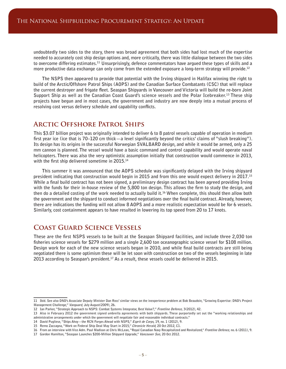**undoubtedly two sides to the story, there was broad agreement that both sides had lost much of the expertise needed to accurately cost ship design options and, more critically, there was little dialogue between the two sides to overcome differing estimates.11 Unsurprisingly, defence commentators have argued these types of skills and a more productive data exchange can only come from the extended exposure a long-term strategy will provide.12**

**The NSPS then appeared to provide that potential with the Irving shipyard in Halifax winning the right to build of the Arctic/Offshore Patrol Ships (AOPS) and the Canadian Surface Combatants (CSC) that will replace the current destroyer and frigate fleet. Seaspan Shipyards in Vancouver and Victoria will build the re-born Joint Support Ship as well as the Canadian Coast Guard's science vessels and the Polar Icebreaker.13 These ship projects have begun and in most cases, the government and industry are now deeply into a mutual process of resolving cost versus delivery schedule and capability conflicts.**

#### **Arctic Offshore Patrol Ships**

**This \$3.07 billion project was originally intended to deliver 6 to 8 patrol vessels capable of operation in medium first year ice (ice that is 70–120 cm thick—a level significantly beyond the critics' claims of "slush breaking"). Its design has its origins in the successful Norwegian SVALBARD design, and while it would be armed, only a 25 mm cannon is planned. The vessel would have a basic command and control capability and would operate naval helicopters. There was also the very optimistic assumption initially that construction would commence in 2013, with the first ship delivered sometime in 2015.14**

**This summer it was announced that the AOPS schedule was significantly delayed with the Irving shipyard president indicating that construction would begin in 2015 and from this one would expect delivery in 2017.15 While a final build contract has not been signed, a preliminary design contract has been agreed providing Irving with the funds for their in-house review of the 5,800 ton design. This allows the firm to study the design, and then do a detailed costing of the work needed to actually build it.16 When complete, this should then allow both the government and the shipyard to conduct informed negotiations over the final build contract. Already, however, there are indications the funding will not allow 8 AOPS and a more realistic expectation would be for 6 vessels. Similarly, cost containment appears to have resulted in lowering its top speed from 20 to 17 knots.**

## **Coast Guard Science Vessels**

**These are the first NSPS vessels to be built at the Seaspan Shipyard facilities, and include three 2,030 ton fisheries science vessels for \$279 million and a single 2,600 ton oceanographic science vessel for \$108 million. Design work for each of the new science vessels began in 2010, and while final build contracts are still being negotiated there is some optimism these will be let soon with construction on two of the vessels beginning in late 2013 according to Seaspan's president.17 As a result, these vessels could be delivered in 2015.**

**<sup>11</sup> Ibid. See also DND's Associate Deputy Minister Dan Ross' similar views on the inexperience problem at Bob Beaudoin, "Growing Expertise: DND's Project Management Challenge," Vanguard, July August(2009), 26.**

**<sup>12</sup> Ian Parker, "Strategic Approach to NSPS: Combat Systems Integrator, Best Value?," Frontline Defence, 3(2012), 42.**

**<sup>13</sup> Also in February 2012 the government signed umbrella agreements with both shipyards. These purportedly set out the "working relationships and administrative arrangements under which the government will negotiate fair and reasonable individual contracts."**

**<sup>14</sup> David Pugliese, "Ships Ahoy—the RCN Forges Ahead with NSPS," Esprit de Corps, 19, no. 1 (2012), 9.**

**<sup>15</sup> Remo Zaccagna, "Work on Federal Ship Deal May Start in 2015," Chronicle Herald, 20 Oct 2012, C1.**

**<sup>16</sup> From an interview with Vice Adm. Paul Madison at Chris McLean, "Royal Canadian Navy Recapitalized and Revitalized," Frontline Defence, no. 6 (2011), 9.**

**<sup>17</sup> Gordon Hamilton, "Seaspan Launches \$200-Million Shipyard Upgrade," Vancouver Sun, 20 Oct 2012.**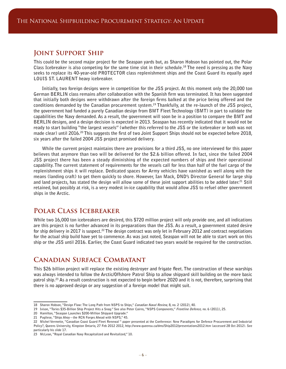### **Joint Support Ship**

**This could be the second major project for the Seaspan yards but, as Sharon Hobson has pointed out, the Polar Class Icebreaker is also competing for the same time slot in their schedule.18 The need is pressing as the Navy seeks to replace its 40-year-old PROTECTOR class replenishment ships and the Coast Guard its equally aged LOUIS ST. LAURENT heavy icebreaker.**

**Initially, two foreign designs were in competition for the JSS project. At this moment only the 20,000 ton German BERLIN class remains after collaboration with the Spanish firm was terminated. It has been suggested that initially both designs were withdrawn after the foreign firms balked at the price being offered and the conditions demanded by the Canadian procurement system.19 Thankfully, at the re-launch of the JSS project, the government had funded a purely Canadian design from BMT Fleet Technology (BMT) in part to validate the capabilities the Navy demanded. As a result, the government will soon be in a position to compare the BMT and BERLIN designs, and a design decision is expected in 2013. Seaspan has recently indicated that it would not be ready to start building "the largest vessels" (whether this referred to the JSS or the icebreaker or both was not made clear) until 2016.20 This suggests the first of two Joint Support Ships should not be expected before 2018, six years after the failed 2004 JSS project promised delivery.**

**While the current project maintains there are provisions for a third JSS, no one interviewed for this paper believes that anymore than two will be delivered for the \$2.6 billion offered. In fact, since the failed 2004 JSS project there has been a steady diminishing of the expected numbers of ships and their operational capability. The current statement of requirements for the vessels call for less than half of the fuel cargo of the replenishment ships it will replace. Dedicated spaces for Army vehicles have vanished as well along with the means (landing craft) to get them quickly to shore. However, Ian Mack, DND's Director General for large ship**  and land projects, has stated the design will allow some of these joint support abilities to be added later.<sup>21</sup> Still **retained, but possibly at risk, is a very modest in-ice capability that would allow JSS to refuel other government ships in the Arctic.**

### **Polar Class Icebreaker**

**While two 16,000 ton icebreakers are desired, this \$720 million project will only provide one, and all indications are this project is no further advanced in its preparations than the JSS. As a result, a government stated desire for ship delivery in 2017 is suspect.22 The design contract was only let in February 2012 and contract negotiations for the actual ship build have yet to commence. As was just noted, Seaspan will not be able to start work on this ship or the JSS until 2016. Earlier, the Coast Guard indicated two years would be required for the construction.**

## **Canadian Surface Combatant**

**This \$26 billion project will replace the existing destroyer and frigate fleet. The construction of these warships was always intended to follow the Arctic/Offshore Patrol Ship to allow shipyard skill building on the more basic patrol ship.23 As a result construction is not expected to begin before 2020 and it is not, therefore, surprising that there is no approved design or any suggestion of a foreign model that might suit.**

**<sup>18</sup> Sharon Hobson, "Design Flaw: The Long Path from NSPS to Ships," Canadian Naval Review, 8, no. 2 (2012), 40.**

**<sup>19</sup> Ivison, "Tories \$35-Billion Ship Project Hits a Snag." See also Peter Cairns, "NSPS Components," Frontline Defence, no. 6 (2011), 25.**

**<sup>20</sup> Hamilton, "Seaspan Launches \$200-Million Shipyard Upgrade."**

**<sup>21</sup> Pugliese, "Ships Ahoy—the RCN Forges Ahead with NSPS," 45.**

**<sup>22</sup> Michel Vermette, "Canadian Coast Guard Fleet Renewal " paper presented at the Conference: New Paradigms for Defence Procurement and Industrial Policy?, Queens University, Kingston Ontario, 27 Feb 2012 2012, http://www.queensu.ca/dms/Ship2012/presentations2012.htm (accessed 28 Oct 2012). See particularly his slide 17.**

**<sup>23</sup> McLean, "Royal Canadian Navy Recapitalized and Revitalized," 10.**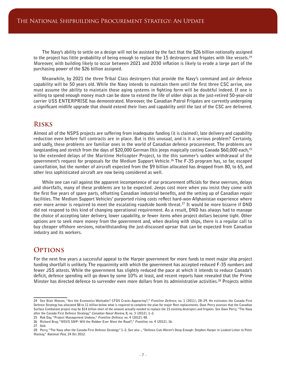**The Navy's ability to settle on a design will not be assisted by the fact that the \$26 billion notionally assigned to the project has little probability of being enough to replace the 15 destroyers and frigates with like vessels.24 Moreover, with building likely to occur between 2021 and 2030 inflation is likely to erode a large part of the purchasing power of the \$26 billion assigned.**

**Meanwhile, by 2021 the three Tribal Class destroyers that provide the Navy's command and air defence capability will be 50 years old. While the Navy intends to maintain them until the first three CSC arrive, one must assume the ability to maintain those aging systems in fighting form will be doubtful indeed. If one is willing to spend enough money much can be done to extend the life of older ships as the just-retired 50-year-old carrier USS ENTERPRISE has demonstrated. Moreover, the Canadian Patrol Frigates are currently undergoing a significant midlife upgrade that should extend their lives and capability until the last of the CSC are delivered.**

#### **Risks**

**Almost all of the NSPS projects are suffering from inadequate funding (it is claimed), late delivery and capability reduction even before full contracts are in place. But is this unusual, and is it a serious problem? Certainly, and sadly, these problems are familiar ones in the world of Canadian defence procurement. The problems are longstanding and stretch from the days of \$20,000 German Iltis jeeps magically costing Canada \$60,000 each,25 to the extended delays of the Maritime Helicopter Project, to the this summer's sudden withdrawal of the government's request for proposals for the Medium Support Vehicle.26 The F-35 program has, so far, escaped cancellation, but the number of aircraft expected from the \$9 billion allocated has dropped from 80, to 65, and other less sophisticated aircraft are now being considered as well.**

**While one can rail against the apparent incompetence of our procurement officials for these overruns, delays and shortfalls, many of these problems are to be expected. Jeeps cost more when you insist they come with the first five years of spare parts, offsetting Canadian industrial benefits, and the setting up of Canadian repair facilities. The Medium Support Vehicles' purported rising costs reflect hard-won Afghanistan experience where ever more armor is required to meet the escalating roadside bomb threat.27 It would be more bizarre if DND did not respond to this kind of changing operational requirement. As a result, DND has always had to manage the choice of accepting later delivery, lower capability, or fewer items when project dollars become tight. Other options are to seek more money from the government and, when dealing with ships, there is a regular call to buy cheaper offshore versions, notwithstanding the just-discussed uproar that can be expected from Canadian industry and its workers.**

#### **OPTIONS**

**For the next few years a successful appeal to the Harper government for more funds to meet major ship project funding shortfall is unlikely. The equanimity with which the government has accepted reduced F-35 numbers and fewer JSS attests. While the government has slightly reduced the pace at which it intends to reduce Canada's deficit, defence spending will go down by some 10% at least, and recent reports have revealed that the Prime Minster has directed defence to surrender even more dollars from its administrative activities.28 Projects within** 

**25 Rob Day, "Project Management Undone," Frontline Defence, no. 4 (2012), 48.**

**27 Ibid.**

**<sup>24</sup> See Blair Watson, "Are the Economics Workable? CFDS Cracks Appearing?," Frontline Defence, no. 1 (2011), 28–29. He estimates the Canada First Defence Strategy has allocated \$8 to 11 billion below what is required to complete the plan for major fleet replacements. Dave Perry assesses that the Canadian Surface Combatant project may be \$14 billion short of the amount actually needed to replace the 15 existing destroyers and frigates. See Dave Perry, "The Navy after the Canada First Defence Strategy," Canadian Naval Review, 8, no. 3 (2012), 1–2.**

**<sup>26</sup> Richard Bray, "MSVS SMP: Will the Rubber Ever Meet the Road?," Frontline, no. 4 (2012), 16.**

**<sup>28</sup> Perry, "The Navy after the Canada First Defence Strategy," 1–2. See also -, "Defence Cuts Weren't Deep Enough: Stephen Harper in Leaked Letter to Peter Mackay," National Post, 24 Oct 2012.**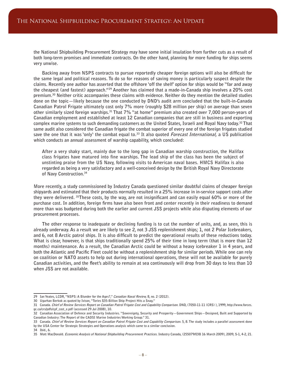**the National Shipbuilding Procurement Strategy may have some initial insulation from further cuts as a result of both long-term promises and immediate contracts. On the other hand, planning for more funding for ships seems very unwise.**

**Backing away from NSPS contracts to pursue reportedly cheaper foreign options will also be difficult for the same legal and political reasons. To do so for reasons of saving money is particularly suspect despite the claims. Recently one author has asserted that the offshore 'off the shelf' option for ships would be "far and away the cheapest (and fastest) approach."29 Another has claimed that a made-in-Canada ship involves a 20% cost premium.30 Neither critic accompanies these claims with evidence. Neither do they mention the detailed studies done on the topic—likely because the one conducted by DND's audit arm concluded that the built-in-Canada Canadian Patrol Frigate ultimately cost only 7% more (roughly \$28 million per ship) on average than seven other similarly sized foreign warships.31 That 7% "at home" premium also created over 7,000 person-years of Canadian employment and established at least 12 Canadian companies that are still in business and exporting complex marine systems to such demanding customers as the United States, Israeli and Royal Navy today.32 That same audit also considered the Canadian frigate the combat superior of every one of the foreign frigates studied save the one that it was 'only' the combat equal to.33 It also quoted Forecast International, a US publication which conducts an annual assessment of warship capability, which concluded:**

**After a very shaky start, mainly due to the long gap in Canadian warship construction, the Halifax class frigates have matured into fine warships. The lead ship of the class has been the subject of unstinting praise from the US Navy, following visits to American naval bases. HMCS Halifax is also regarded as being a very satisfactory and a well-conceived design by the British Royal Navy Directorate of Navy Construction.34**

**More recently, a study commissioned by Industry Canada questioned similar doubtful claims of cheaper foreign shipyards and estimated that their products normally resulted in a 25% increase in in-service support costs after they were delivered. 35These costs, by the way, are not insignificant and can easily equal 60% or more of the purchase cost. In addition, foreign firms have also been front and center recently in their readiness to demand more than was budgeted during both the earlier and current JSS projects while also disputing elements of our procurement processes.**

**The other response to inadequate or declining funding is to cut the number of units, and, as seen, this is already underway. As a result we are likely to see 2, not 3 JSS replenishment ships; 1, not 2 Polar Icebreakers, and 6, not 8 Arctic patrol ships. It is also difficult to predict the operational results of these reductions today. What is clear, however, is that ships traditionally spend 25% of their time in long term (that is more than 12 months) maintenance. As a result, the Canadian Arctic could be without a heavy icebreaker 1 in 4 years, and both the Atlantic and Pacific Fleet could be without a replenishment ship for similar periods. While one can rely on coalition or NATO assets to help out during international operations, these will not be available for purely Canadian activities, and the fleet's ability to remain at sea continuously will drop from 30 days to less than 10 when JSS are not available.**

**<sup>29</sup> Ian Yeates, LCDR, "NSPS: A Blunder for the Ages?," Canadian Naval Review, 8, no. 2 (2012).**

**<sup>30</sup> Ugurhan Berkok as quoted by Ivison, "Tories \$35-Billion Ship Project Hits a Snag."**

**<sup>31</sup> Canada. Chief of Review Services Report on Canadian Patrol Frigate Cost and Capability Comparison. DND, (7050-11-11 (CRS) ), 1999, http://www.forces. gc.ca/crs/pdfs/cpf\_cost\_e.pdf (accessed 29 Jul 2008), 10.**

**<sup>32</sup> Canadian Association of Defence and Security Industries. "Sovereignty, Security and Prosperity—Government Ships—Designed, Built and Supported by Canadian Industry: The Report of the CADSI Marine Industries Working Group." 31.**

**<sup>33</sup> Canada. Chief of Review Services Report on Canadian Patrol Frigate Cost and Capability Comparison. 5, 8. The study includes a parallel assessment done by the USA Center for Strategic Strategies and Operations analysis which came to a similar conclusion.**

**<sup>34</sup> Ibid., 6.**

**<sup>35</sup> Mott MacDonald. Economic Analysis of National Shipbuilding Procurement Practices. Industry Canada, (255079/03B 16 March 2009), 2009, S-1, 4-2, 21.**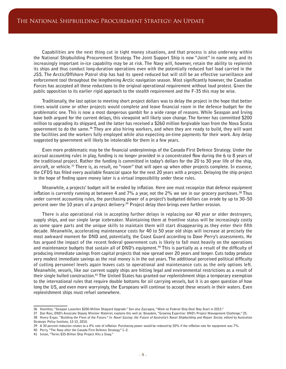**Capabilities are the next thing cut in tight money situations, and that process is also underway within the National Shipbuilding Procurement Strategy. The Joint Support Ship is now "Joint" in name only, and its increasingly important in-ice capability may be at risk. The Navy will, however, retain the ability to replenish its ships and thus conduct long-duration operations even with the potentially reduced fuel load carried in the JSS. The Arctic/Offshore Patrol ship has had its speed reduced but will still be an effective surveillance and enforcement tool throughout the lengthening Arctic navigation season. Most significantly however, the Canadian Forces has accepted all these reductions to the original operational requirement without loud protest. Given the public opposition to its earlier rigid approach to the stealth requirement and the F-35 this may be wise.**

**Traditionally, the last option to meeting short project dollars was to delay the project in the hope that better times would come or other projects would complete and leave financial room in the defence budget for the problematic one. This is now a most dangerous gambit for a wide range of reasons. While Seaspan and Irving have both argued for the current delays, this viewpoint will likely soon change. The former has committed \$200 million to upgrading its shipyard, and the latter has received a \$260 million forgivable loan from the Nova Scotia government to do the same.36 They are also hiring workers, and when they are ready to build, they will want the facilities and the workers fully employed while also expecting on-time payments for their work. Any delay suggested by government will likely be intolerable for them in a few years.**

**Even more problematic may be the financial underpinnings of the Canada First Defence Strategy. Under the accrual accounting rules in play, funding is no longer provided in a concentrated flow during the 6 to 8 years of the traditional project. Rather the funding is committed in today's dollars for the 20 to 30 year life of the ship, aircraft, or vehicle.37 There is, as result, no "room" that will open up when other projects complete. In essence, the CFDS has filled every available financial space for the next 20 years with a project. Delaying the ship project in the hope of finding spare money later is a virtual impossibility under these rules.**

**Meanwhile, a projects' budget will be eroded by inflation. Here one must recognize that defence equipment inflation is currently running at between 4 and 7% a year, not the 2% we see in our grocery purchases.38 Thus under current accounting rules, the purchasing power of a project's budgeted dollars can erode by up to 30–50 percent over the 10 years of a project delivery.39 Project delay then brings even further erosion.**

**There is also operational risk in accepting further delays in replacing our 40 year or older destroyers, supply ships, and our single large icebreaker. Maintaining them at frontline status will be increasingly costly as some spare parts and the unique skills to maintain them will start disappearing as they enter their fifth decade. Meanwhile, accelerating maintenance costs for 40 to 50 year old ships will increase at precisely the most awkward moment for DND and, potentially, the Coast Guard according to Dave Perry's assessments. He has argued the impact of the recent federal government cuts is likely to fall most heavily on the operations and maintenance budgets that sustain all of DND's equipment.40 This is partially as a result of the difficulty of producing immediate savings from capital projects that now spread over 20 years and longer. Cuts today produce very modest immediate savings as the real money is in the out years. The additional perceived political difficulty of cutting personnel levels again leaves cuts to operational and maintenance cuts as the only options left. Meanwhile, vessels, like our current supply ships are hitting legal and environmental restrictions as a result of their single hulled construction.41 The United States has granted our replenishment ships a temporary exemption to the international rules that require double bottoms for oil carrying vessels, but it is an open question of how long the US, and even more worryingly, the Europeans will continue to accept these vessels in their waters. Even replenishment ships must refuel somewhere.**

**38 Henry Ergas. "Building the Fleet of the Future." In Navel Gazing: the Future of Australia's Naval Shipbuilding and Repair Sector, edited by Australian Strategic Policy Institute, 12-15, 2010.**

**40 Perry, "The Navy after the Canada First Defence Strategy," 1–2.**

**<sup>36</sup> Hamilton, "Seaspan Launches \$200-Million Shipyard Upgrade." See also Zaccagna, "Work on Federal Ship Deal May Start in 2015."**

**<sup>37</sup> Dan Ross, DND's Associate Deputy Minister Matériel, explains this well at: Beaudoin, "Growing Expertise: DND's Project Management Challenge," 25.**

**<sup>39</sup> A 30 percent reduction relates to a 4% rate of inflation. Purchasing power would be reduced by 50% if the inflation rate for equipment was 7%.**

**<sup>41</sup> Ivison, "Tories \$35-Billion Ship Project Hits a Snag."**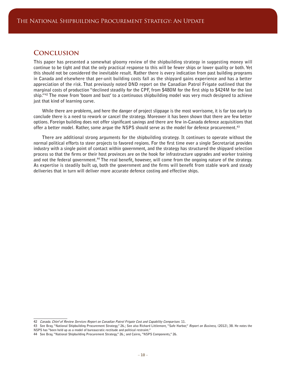#### **Conclusion**

**This paper has presented a somewhat gloomy review of the shipbuilding strategy in suggesting money will continue to be tight and that the only practical response to this will be fewer ships or lower quality or both. Yet this should not be considered the inevitable result. Rather there is every indication from past building programs in Canada and elsewhere that per-unit building costs fall as the shipyard gains experience and has a better appreciation of the risk. That previously noted DND report on the Canadian Patrol Frigate outlined that the marginal costs of production "declined steadily for the CPF, from \$480M for the first ship to \$424M for the last ship."42 The move from 'boom and bust' to a continuous shipbuilding model was very much designed to achieve just that kind of learning curve.**

**While there are problems, and here the danger of project slippage is the most worrisome, it is far too early to conclude there is a need to rework or cancel the strategy. Moreover it has been shown that there are few better options. Foreign building does not offer significant savings and there are few in-Canada defence acquisitions that offer a better model. Rather, some argue the NSPS should serve as the model for defence procurement.43**

**There are additional strong arguments for the shipbuilding strategy. It continues to operate without the normal political efforts to steer projects to favored regions. For the first time ever a single Secretariat provides industry with a single point of contact within government, and the strategy has structured the shipyard selection process so that the firms or their host provinces are on the hook for infrastructure upgrades and worker training and not the federal government.44 The real benefit, however, will come from the ongoing nature of the strategy. As expertise is steadily built up, both the government and the firms will benefit from stable work and steady deliveries that in turn will deliver more accurate defence costing and effective ships.**

**<sup>42</sup> Canada. Chief of Review Services Report on Canadian Patrol Frigate Cost and Capability Comparison. 11.**

**<sup>43</sup> See Bray, "National Shipbuilding Procurement Strategy," 26.; See also Richard Littlemore, "Safe Harbor," Report on Business, (2012), 38. He notes the NSPS has "been held up as a model of bureaucratic rectitude and political restraint."**

**<sup>44</sup> See Bray, "National Shipbuilding Procurement Strategy," 26.; and Cairns, "NSPS Components," 26.**